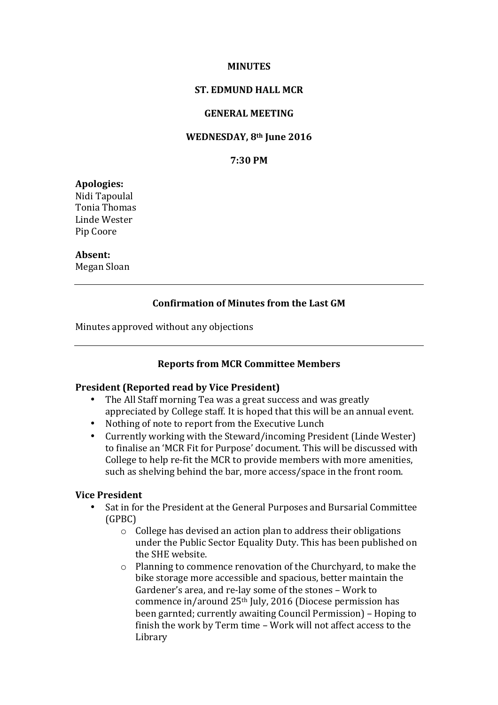#### **MINUTES**

### **ST. EDMUND HALL MCR**

### **GENERAL MEETING**

#### **WEDNESDAY, 8th June 2016**

### **7:30 PM**

#### **Apologies:**

Nidi Tapoulal Tonia Thomas Linde Wester Pip Coore

### **Absent:**

Megan Sloan

### **Confirmation of Minutes from the Last GM**

Minutes approved without any objections

### **Reports from MCR Committee Members**

#### **President (Reported read by Vice President)**

- The All Staff morning Tea was a great success and was greatly appreciated by College staff. It is hoped that this will be an annual event.
- Nothing of note to report from the Executive Lunch<br>• Currently working with the Steward/incoming Pres
- Currently working with the Steward/incoming President (Linde Wester) to finalise an 'MCR Fit for Purpose' document. This will be discussed with College to help re-fit the MCR to provide members with more amenities, such as shelving behind the bar, more access/space in the front room.

### **Vice President**

- Sat in for the President at the General Purposes and Bursarial Committee (GPBC)
	- $\circ$  College has devised an action plan to address their obligations under the Public Sector Equality Duty. This has been published on the SHE website.
	- $\circ$  Planning to commence renovation of the Churchyard, to make the bike storage more accessible and spacious, better maintain the Gardener's area, and re-lay some of the stones - Work to commence in/around  $25<sup>th</sup>$  July, 2016 (Diocese permission has been garnted; currently awaiting Council Permission) – Hoping to finish the work by Term time - Work will not affect access to the Library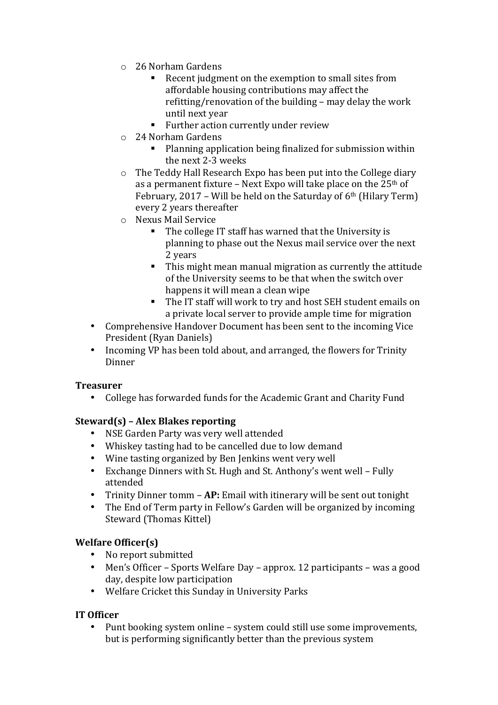- o 26 Norham Gardens
	- Recent judgment on the exemption to small sites from affordable housing contributions may affect the refitting/renovation of the building  $-$  may delay the work until next year
	- Further action currently under review
- o 24 Norham Gardens
	- Planning application being finalized for submission within the next 2-3 weeks
- $\circ$  The Teddy Hall Research Expo has been put into the College diary as a permanent fixture – Next Expo will take place on the  $25<sup>th</sup>$  of February, 2017 – Will be held on the Saturday of  $6<sup>th</sup>$  (Hilary Term) every 2 years thereafter
- o Nexus Mail Service
	- The college IT staff has warned that the University is planning to phase out the Nexus mail service over the next 2 years
	- This might mean manual migration as currently the attitude of the University seems to be that when the switch over happens it will mean a clean wipe
	- The IT staff will work to try and host SEH student emails on a private local server to provide ample time for migration
- Comprehensive Handover Document has been sent to the incoming Vice President (Ryan Daniels)
- Incoming VP has been told about, and arranged, the flowers for Trinity Dinner

## **Treasurer**

• College has forwarded funds for the Academic Grant and Charity Fund

# **Steward(s) – Alex Blakes reporting**

- NSE Garden Party was very well attended
- Whiskey tasting had to be cancelled due to low demand
- Wine tasting organized by Ben Jenkins went very well
- Exchange Dinners with St. Hugh and St. Anthony's went well Fully attended
- Trinity Dinner tomm **AP:** Email with itinerary will be sent out tonight
- The End of Term party in Fellow's Garden will be organized by incoming Steward (Thomas Kittel)

# **Welfare Officer(s)**

- No report submitted
- Men's Officer Sports Welfare Day approx. 12 participants was a good day, despite low participation
- Welfare Cricket this Sunday in University Parks

# **IT Officer**

Punt booking system online – system could still use some improvements, but is performing significantly better than the previous system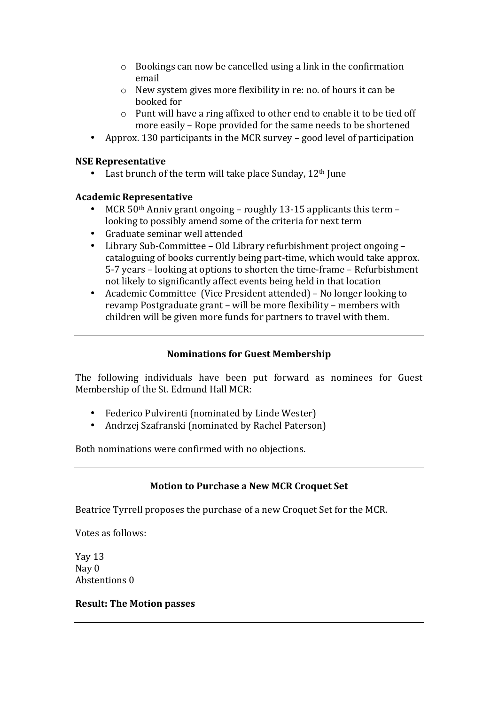- $\circ$  Bookings can now be cancelled using a link in the confirmation email
- $\circ$  New system gives more flexibility in re: no. of hours it can be booked for
- $\circ$  Punt will have a ring affixed to other end to enable it to be tied off more easily – Rope provided for the same needs to be shortened
- Approx. 130 participants in the MCR survey good level of participation

# **NSE Representative**

Last brunch of the term will take place Sunday,  $12<sup>th</sup>$  June

# **Academic Representative**

- MCR  $50<sup>th</sup>$  Anniv grant ongoing roughly 13-15 applicants this term looking to possibly amend some of the criteria for next term
- Graduate seminar well attended
- Library Sub-Committee Old Library refurbishment project ongoing cataloguing of books currently being part-time, which would take approx. 5-7 years – looking at options to shorten the time-frame – Refurbishment not likely to significantly affect events being held in that location
- Academic Committee (Vice President attended) No longer looking to revamp Postgraduate grant - will be more flexibility - members with children will be given more funds for partners to travel with them.

## **Nominations for Guest Membership**

The following individuals have been put forward as nominees for Guest Membership of the St. Edmund Hall MCR:

- Federico Pulvirenti (nominated by Linde Wester)
- Andrzej Szafranski (nominated by Rachel Paterson)

Both nominations were confirmed with no objections.

# **Motion to Purchase a New MCR Croquet Set**

Beatrice Tyrrell proposes the purchase of a new Croquet Set for the MCR.

Votes as follows:

Yay 13 Nay 0 Abstentions 0

## **Result: The Motion passes**